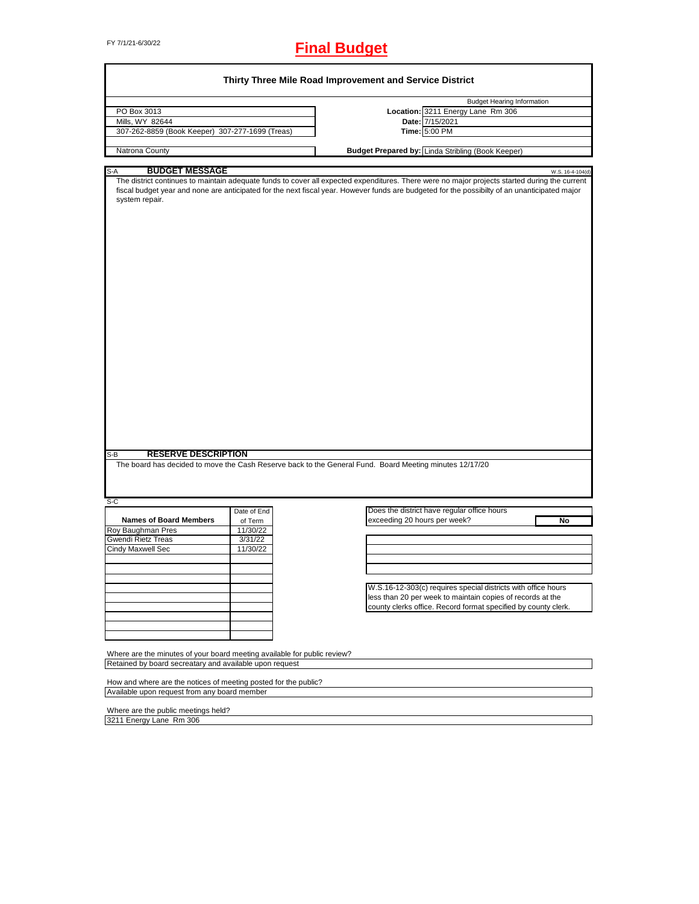## FY 7/1/21-6/30/22 **Final Budget**

|                                                                                                                                                                                                                                                        |             | Thirty Three Mile Road Improvement and Service District                                                                                                           |
|--------------------------------------------------------------------------------------------------------------------------------------------------------------------------------------------------------------------------------------------------------|-------------|-------------------------------------------------------------------------------------------------------------------------------------------------------------------|
|                                                                                                                                                                                                                                                        |             | <b>Budget Hearing Information</b>                                                                                                                                 |
| PO Box 3013                                                                                                                                                                                                                                            |             | Location: 3211 Energy Lane Rm 306                                                                                                                                 |
| Mills, WY 82644                                                                                                                                                                                                                                        |             | Date: 7/15/2021                                                                                                                                                   |
| 307-262-8859 (Book Keeper) 307-277-1699 (Treas)                                                                                                                                                                                                        |             | Time: 5:00 PM                                                                                                                                                     |
| Natrona County                                                                                                                                                                                                                                         |             | Budget Prepared by: Linda Stribling (Book Keeper)                                                                                                                 |
|                                                                                                                                                                                                                                                        |             |                                                                                                                                                                   |
| <b>BUDGET MESSAGE</b><br>S-A                                                                                                                                                                                                                           |             | W.S. 16-4-104(d)<br>The district continues to maintain adequate funds to cover all expected expenditures. There were no major projects started during the current |
| system repair.                                                                                                                                                                                                                                         |             | fiscal budget year and none are anticipated for the next fiscal year. However funds are budgeted for the possibilty of an unanticipated major                     |
| <b>RESERVE DESCRIPTION</b><br>$S-B$                                                                                                                                                                                                                    |             | The board has decided to move the Cash Reserve back to the General Fund. Board Meeting minutes 12/17/20                                                           |
|                                                                                                                                                                                                                                                        |             |                                                                                                                                                                   |
| $S-C$                                                                                                                                                                                                                                                  | Date of End | Does the district have regular office hours                                                                                                                       |
| <b>Names of Board Members</b>                                                                                                                                                                                                                          | of Term     | exceeding 20 hours per week?<br>No                                                                                                                                |
| Roy Baughman Pres                                                                                                                                                                                                                                      | 11/30/22    |                                                                                                                                                                   |
| Gwendi Rietz Treas                                                                                                                                                                                                                                     | 3/31/22     |                                                                                                                                                                   |
| <b>Cindy Maxwell Sec</b>                                                                                                                                                                                                                               | 11/30/22    |                                                                                                                                                                   |
|                                                                                                                                                                                                                                                        |             |                                                                                                                                                                   |
|                                                                                                                                                                                                                                                        |             |                                                                                                                                                                   |
|                                                                                                                                                                                                                                                        |             |                                                                                                                                                                   |
|                                                                                                                                                                                                                                                        |             | W.S.16-12-303(c) requires special districts with office hours                                                                                                     |
|                                                                                                                                                                                                                                                        |             | less than 20 per week to maintain copies of records at the                                                                                                        |
|                                                                                                                                                                                                                                                        |             | county clerks office. Record format specified by county clerk.                                                                                                    |
|                                                                                                                                                                                                                                                        |             |                                                                                                                                                                   |
|                                                                                                                                                                                                                                                        |             |                                                                                                                                                                   |
|                                                                                                                                                                                                                                                        |             |                                                                                                                                                                   |
|                                                                                                                                                                                                                                                        |             |                                                                                                                                                                   |
|                                                                                                                                                                                                                                                        |             |                                                                                                                                                                   |
|                                                                                                                                                                                                                                                        |             |                                                                                                                                                                   |
|                                                                                                                                                                                                                                                        |             |                                                                                                                                                                   |
|                                                                                                                                                                                                                                                        |             |                                                                                                                                                                   |
| Where are the minutes of your board meeting available for public review?<br>Retained by board secreatary and available upon request<br>How and where are the notices of meeting posted for the public?<br>Available upon request from any board member |             |                                                                                                                                                                   |

Where are the public meetings held? 3211 Energy Lane Rm 306